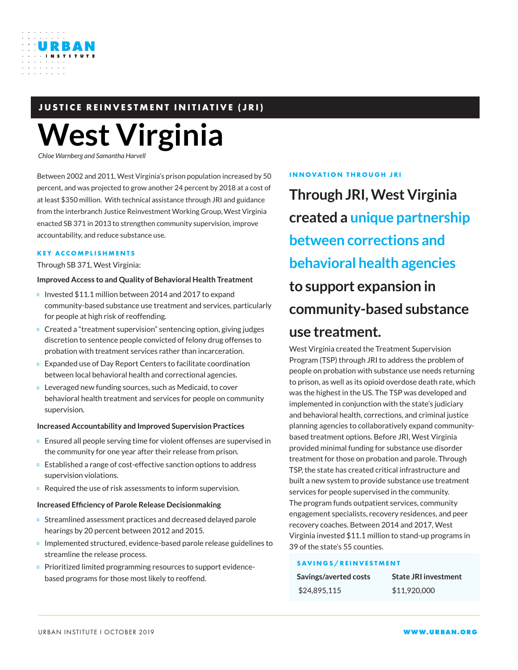

## **JUSTICE REINVESTMENT INITIATIVE (JRI)**

# **West Virginia**

*Chloe Warnberg and Samantha Harvell*

Between 2002 and 2011, West Virginia's prison population increased by 50 percent, and was projected to grow another 24 percent by 2018 at a cost of at least \$350 million. With technical assistance through JRI and guidance from the interbranch Justice Reinvestment Working Group, West Virginia enacted SB 371 in 2013 to strengthen community supervision, improve accountability, and reduce substance use.

#### **KEY ACCOMPLISHMENTS**

Through SB 371, West Virginia:

#### **Improved Access to and Quality of Behavioral Health Treatment**

Invested \$11.1 million between 2014 and 2017 to expand community-based substance use treatment and services, particularly for people at high risk of reoffending.

Created a "treatment supervision" sentencing option, giving judges discretion to sentence people convicted of felony drug offenses to probation with treatment services rather than incarceration.

Expanded use of Day Report Centers to facilitate coordination between local behavioral health and correctional agencies.

Leveraged new funding sources, such as Medicaid, to cover behavioral health treatment and services for people on community supervision.

#### **Increased Accountability and Improved Supervision Practices**

Ensured all people serving time for violent offenses are supervised in the community for one year after their release from prison.

Established a range of cost-effective sanction options to address supervision violations.

Required the use of risk assessments to inform supervision.

#### **Increased Efficiency of Parole Release Decisionmaking**

Streamlined assessment practices and decreased delayed parole hearings by 20 percent between 2012 and 2015.

Implemented structured, evidence-based parole release guidelines to streamline the release process.

Prioritized limited programming resources to support evidencebased programs for those most likely to reoffend.

#### **INNOVATION THROUGH JRI**

**Through JRI, West Virginia created a unique partnership between corrections and behavioral health agencies to support expansion in community-based substance use treatment.**

West Virginia created the Treatment Supervision Program (TSP) through JRI to address the problem of people on probation with substance use needs returning to prison, as well as its opioid overdose death rate, which was the highest in the US. The TSP was developed and implemented in conjunction with the state's judiciary and behavioral health, corrections, and criminal justice planning agencies to collaboratively expand communitybased treatment options. Before JRI, West Virginia provided minimal funding for substance use disorder treatment for those on probation and parole. Through TSP, the state has created critical infrastructure and built a new system to provide substance use treatment services for people supervised in the community. The program funds outpatient services, community engagement specialists, recovery residences, and peer recovery coaches. Between 2014 and 2017, West Virginia invested \$11.1 million to stand-up programs in 39 of the state's 55 counties.

#### **SAVINGS/REINVESTMENT**

| Savings/averted costs | <b>State JRI investment</b> |
|-----------------------|-----------------------------|
| \$24,895,115          | \$11,920,000                |